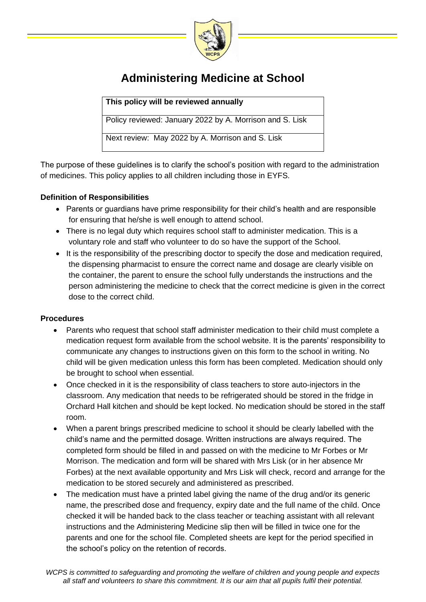

## **Administering Medicine at School**

**This policy will be reviewed annually**

Policy reviewed: January 2022 by A. Morrison and S. Lisk

Next review: May 2022 by A. Morrison and S. Lisk

The purpose of these guidelines is to clarify the school's position with regard to the administration of medicines. This policy applies to all children including those in EYFS.

## **Definition of Responsibilities**

- Parents or guardians have prime responsibility for their child's health and are responsible for ensuring that he/she is well enough to attend school.
- There is no legal duty which requires school staff to administer medication. This is a voluntary role and staff who volunteer to do so have the support of the School.
- It is the responsibility of the prescribing doctor to specify the dose and medication required, the dispensing pharmacist to ensure the correct name and dosage are clearly visible on the container, the parent to ensure the school fully understands the instructions and the person administering the medicine to check that the correct medicine is given in the correct dose to the correct child.

## **Procedures**

- Parents who request that school staff administer medication to their child must complete a medication request form available from the school website. It is the parents' responsibility to communicate any changes to instructions given on this form to the school in writing. No child will be given medication unless this form has been completed. Medication should only be brought to school when essential.
- Once checked in it is the responsibility of class teachers to store auto-injectors in the classroom. Any medication that needs to be refrigerated should be stored in the fridge in Orchard Hall kitchen and should be kept locked. No medication should be stored in the staff room.
- When a parent brings prescribed medicine to school it should be clearly labelled with the child's name and the permitted dosage. Written instructions are always required. The completed form should be filled in and passed on with the medicine to Mr Forbes or Mr Morrison. The medication and form will be shared with Mrs Lisk (or in her absence Mr Forbes) at the next available opportunity and Mrs Lisk will check, record and arrange for the medication to be stored securely and administered as prescribed.
- The medication must have a printed label giving the name of the drug and/or its generic name, the prescribed dose and frequency, expiry date and the full name of the child. Once checked it will be handed back to the class teacher or teaching assistant with all relevant instructions and the Administering Medicine slip then will be filled in twice one for the parents and one for the school file. Completed sheets are kept for the period specified in the school's policy on the retention of records.

*WCPS is committed to safeguarding and promoting the welfare of children and young people and expects all staff and volunteers to share this commitment. It is our aim that all pupils fulfil their potential.*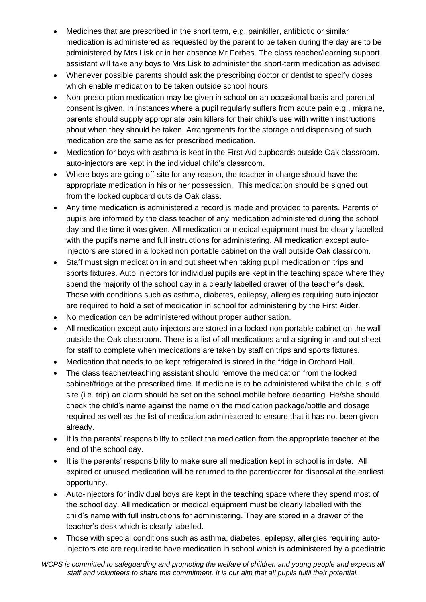- Medicines that are prescribed in the short term, e.g. painkiller, antibiotic or similar medication is administered as requested by the parent to be taken during the day are to be administered by Mrs Lisk or in her absence Mr Forbes. The class teacher/learning support assistant will take any boys to Mrs Lisk to administer the short-term medication as advised.
- Whenever possible parents should ask the prescribing doctor or dentist to specify doses which enable medication to be taken outside school hours.
- Non-prescription medication may be given in school on an occasional basis and parental consent is given. In instances where a pupil regularly suffers from acute pain e.g., migraine, parents should supply appropriate pain killers for their child's use with written instructions about when they should be taken. Arrangements for the storage and dispensing of such medication are the same as for prescribed medication.
- Medication for boys with asthma is kept in the First Aid cupboards outside Oak classroom. auto-injectors are kept in the individual child's classroom.
- Where boys are going off-site for any reason, the teacher in charge should have the appropriate medication in his or her possession. This medication should be signed out from the locked cupboard outside Oak class.
- Any time medication is administered a record is made and provided to parents. Parents of pupils are informed by the class teacher of any medication administered during the school day and the time it was given. All medication or medical equipment must be clearly labelled with the pupil's name and full instructions for administering. All medication except autoinjectors are stored in a locked non portable cabinet on the wall outside Oak classroom.
- Staff must sign medication in and out sheet when taking pupil medication on trips and sports fixtures. Auto injectors for individual pupils are kept in the teaching space where they spend the majority of the school day in a clearly labelled drawer of the teacher's desk. Those with conditions such as asthma, diabetes, epilepsy, allergies requiring auto injector are required to hold a set of medication in school for administering by the First Aider.
- No medication can be administered without proper authorisation.
- All medication except auto-injectors are stored in a locked non portable cabinet on the wall outside the Oak classroom. There is a list of all medications and a signing in and out sheet for staff to complete when medications are taken by staff on trips and sports fixtures.
- Medication that needs to be kept refrigerated is stored in the fridge in Orchard Hall.
- The class teacher/teaching assistant should remove the medication from the locked cabinet/fridge at the prescribed time. If medicine is to be administered whilst the child is off site (i.e. trip) an alarm should be set on the school mobile before departing. He/she should check the child's name against the name on the medication package/bottle and dosage required as well as the list of medication administered to ensure that it has not been given already.
- It is the parents' responsibility to collect the medication from the appropriate teacher at the end of the school day.
- It is the parents' responsibility to make sure all medication kept in school is in date. All expired or unused medication will be returned to the parent/carer for disposal at the earliest opportunity.
- Auto-injectors for individual boys are kept in the teaching space where they spend most of the school day. All medication or medical equipment must be clearly labelled with the child's name with full instructions for administering. They are stored in a drawer of the teacher's desk which is clearly labelled.
- Those with special conditions such as asthma, diabetes, epilepsy, allergies requiring autoinjectors etc are required to have medication in school which is administered by a paediatric

WCPS is committed to safeguarding and promoting the welfare of children and young people and expects all *staff and volunteers to share this commitment. It is our aim that all pupils fulfil their potential.*